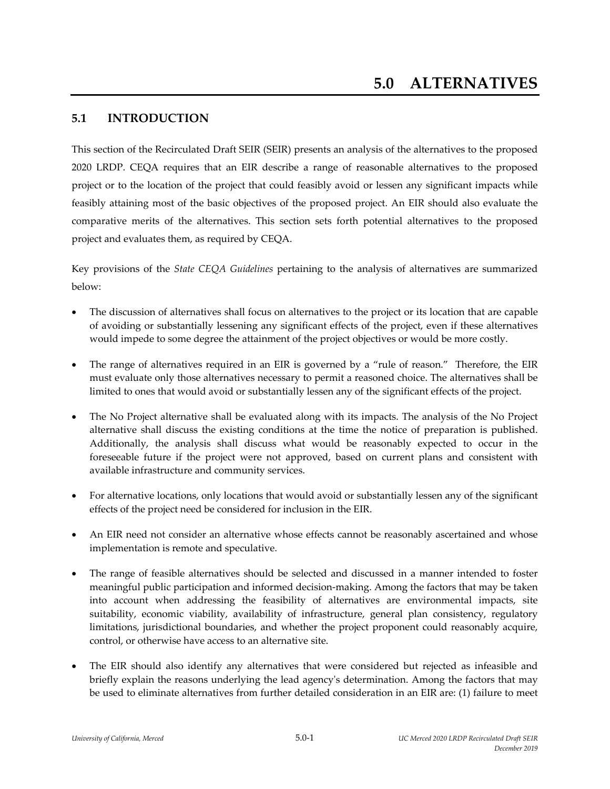# **5.1 INTRODUCTION**

This section of the Recirculated Draft SEIR (SEIR) presents an analysis of the alternatives to the proposed 2020 LRDP. CEQA requires that an EIR describe a range of reasonable alternatives to the proposed project or to the location of the project that could feasibly avoid or lessen any significant impacts while feasibly attaining most of the basic objectives of the proposed project. An EIR should also evaluate the comparative merits of the alternatives. This section sets forth potential alternatives to the proposed project and evaluates them, as required by CEQA.

Key provisions of the *State CEQA Guidelines* pertaining to the analysis of alternatives are summarized below:

- The discussion of alternatives shall focus on alternatives to the project or its location that are capable of avoiding or substantially lessening any significant effects of the project, even if these alternatives would impede to some degree the attainment of the project objectives or would be more costly.
- The range of alternatives required in an EIR is governed by a "rule of reason." Therefore, the EIR must evaluate only those alternatives necessary to permit a reasoned choice. The alternatives shall be limited to ones that would avoid or substantially lessen any of the significant effects of the project.
- The No Project alternative shall be evaluated along with its impacts. The analysis of the No Project alternative shall discuss the existing conditions at the time the notice of preparation is published. Additionally, the analysis shall discuss what would be reasonably expected to occur in the foreseeable future if the project were not approved, based on current plans and consistent with available infrastructure and community services.
- For alternative locations, only locations that would avoid or substantially lessen any of the significant effects of the project need be considered for inclusion in the EIR.
- An EIR need not consider an alternative whose effects cannot be reasonably ascertained and whose implementation is remote and speculative.
- The range of feasible alternatives should be selected and discussed in a manner intended to foster meaningful public participation and informed decision‐making. Among the factors that may be taken into account when addressing the feasibility of alternatives are environmental impacts, site suitability, economic viability, availability of infrastructure, general plan consistency, regulatory limitations, jurisdictional boundaries, and whether the project proponent could reasonably acquire, control, or otherwise have access to an alternative site.
- The EIR should also identify any alternatives that were considered but rejected as infeasible and briefly explain the reasons underlying the lead agencyʹs determination. Among the factors that may be used to eliminate alternatives from further detailed consideration in an EIR are: (1) failure to meet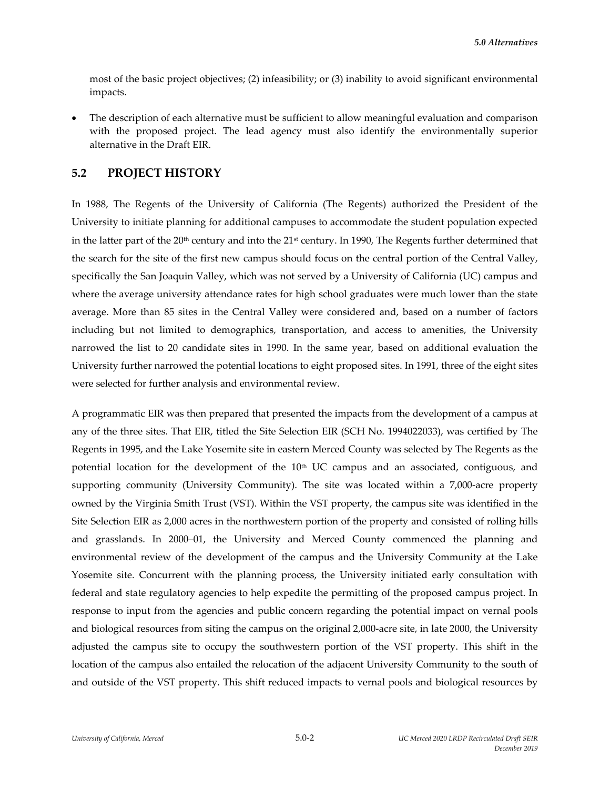most of the basic project objectives; (2) infeasibility; or (3) inability to avoid significant environmental impacts.

 The description of each alternative must be sufficient to allow meaningful evaluation and comparison with the proposed project. The lead agency must also identify the environmentally superior alternative in the Draft EIR.

## **5.2 PROJECT HISTORY**

In 1988, The Regents of the University of California (The Regents) authorized the President of the University to initiate planning for additional campuses to accommodate the student population expected in the latter part of the 20<sup>th</sup> century and into the 21<sup>st</sup> century. In 1990, The Regents further determined that the search for the site of the first new campus should focus on the central portion of the Central Valley, specifically the San Joaquin Valley, which was not served by a University of California (UC) campus and where the average university attendance rates for high school graduates were much lower than the state average. More than 85 sites in the Central Valley were considered and, based on a number of factors including but not limited to demographics, transportation, and access to amenities, the University narrowed the list to 20 candidate sites in 1990. In the same year, based on additional evaluation the University further narrowed the potential locations to eight proposed sites. In 1991, three of the eight sites were selected for further analysis and environmental review.

A programmatic EIR was then prepared that presented the impacts from the development of a campus at any of the three sites. That EIR, titled the Site Selection EIR (SCH No. 1994022033), was certified by The Regents in 1995, and the Lake Yosemite site in eastern Merced County was selected by The Regents as the potential location for the development of the 10<sup>th</sup> UC campus and an associated, contiguous, and supporting community (University Community). The site was located within a 7,000-acre property owned by the Virginia Smith Trust (VST). Within the VST property, the campus site was identified in the Site Selection EIR as 2,000 acres in the northwestern portion of the property and consisted of rolling hills and grasslands. In 2000–01, the University and Merced County commenced the planning and environmental review of the development of the campus and the University Community at the Lake Yosemite site. Concurrent with the planning process, the University initiated early consultation with federal and state regulatory agencies to help expedite the permitting of the proposed campus project. In response to input from the agencies and public concern regarding the potential impact on vernal pools and biological resources from siting the campus on the original 2,000-acre site, in late 2000, the University adjusted the campus site to occupy the southwestern portion of the VST property. This shift in the location of the campus also entailed the relocation of the adjacent University Community to the south of and outside of the VST property. This shift reduced impacts to vernal pools and biological resources by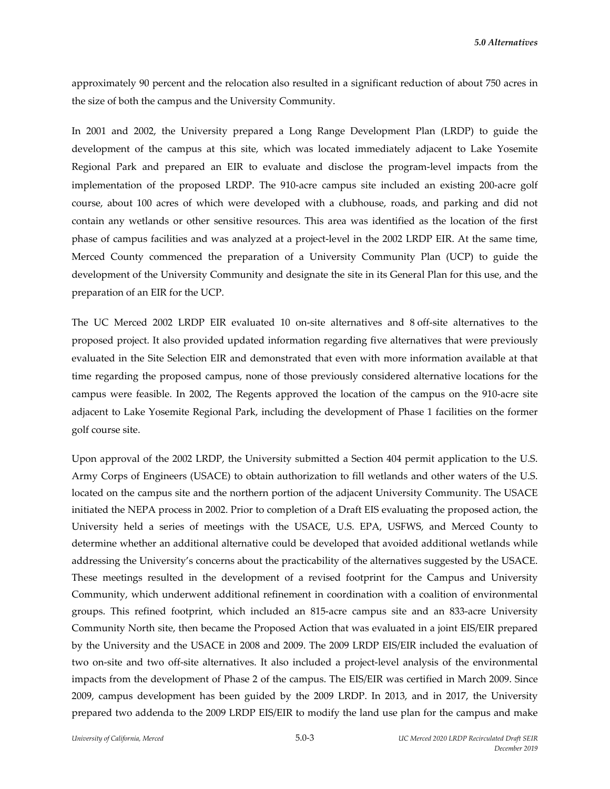approximately 90 percent and the relocation also resulted in a significant reduction of about 750 acres in the size of both the campus and the University Community.

In 2001 and 2002, the University prepared a Long Range Development Plan (LRDP) to guide the development of the campus at this site, which was located immediately adjacent to Lake Yosemite Regional Park and prepared an EIR to evaluate and disclose the program-level impacts from the implementation of the proposed LRDP. The 910-acre campus site included an existing 200-acre golf course, about 100 acres of which were developed with a clubhouse, roads, and parking and did not contain any wetlands or other sensitive resources. This area was identified as the location of the first phase of campus facilities and was analyzed at a project‐level in the 2002 LRDP EIR. At the same time, Merced County commenced the preparation of a University Community Plan (UCP) to guide the development of the University Community and designate the site in its General Plan for this use, and the preparation of an EIR for the UCP.

The UC Merced 2002 LRDP EIR evaluated 10 on‐site alternatives and 8 off‐site alternatives to the proposed project. It also provided updated information regarding five alternatives that were previously evaluated in the Site Selection EIR and demonstrated that even with more information available at that time regarding the proposed campus, none of those previously considered alternative locations for the campus were feasible. In 2002, The Regents approved the location of the campus on the 910‐acre site adjacent to Lake Yosemite Regional Park, including the development of Phase 1 facilities on the former golf course site.

Upon approval of the 2002 LRDP, the University submitted a Section 404 permit application to the U.S. Army Corps of Engineers (USACE) to obtain authorization to fill wetlands and other waters of the U.S. located on the campus site and the northern portion of the adjacent University Community. The USACE initiated the NEPA process in 2002. Prior to completion of a Draft EIS evaluating the proposed action, the University held a series of meetings with the USACE, U.S. EPA, USFWS, and Merced County to determine whether an additional alternative could be developed that avoided additional wetlands while addressing the University's concerns about the practicability of the alternatives suggested by the USACE. These meetings resulted in the development of a revised footprint for the Campus and University Community, which underwent additional refinement in coordination with a coalition of environmental groups. This refined footprint, which included an 815‐acre campus site and an 833‐acre University Community North site, then became the Proposed Action that was evaluated in a joint EIS/EIR prepared by the University and the USACE in 2008 and 2009. The 2009 LRDP EIS/EIR included the evaluation of two on-site and two off-site alternatives. It also included a project-level analysis of the environmental impacts from the development of Phase 2 of the campus. The EIS/EIR was certified in March 2009. Since 2009, campus development has been guided by the 2009 LRDP. In 2013, and in 2017, the University prepared two addenda to the 2009 LRDP EIS/EIR to modify the land use plan for the campus and make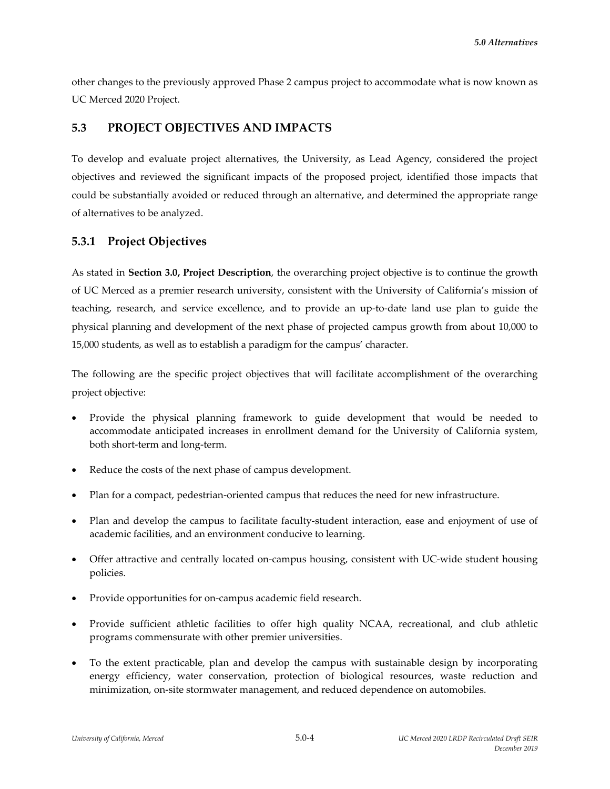other changes to the previously approved Phase 2 campus project to accommodate what is now known as UC Merced 2020 Project.

## **5.3 PROJECT OBJECTIVES AND IMPACTS**

To develop and evaluate project alternatives, the University, as Lead Agency, considered the project objectives and reviewed the significant impacts of the proposed project, identified those impacts that could be substantially avoided or reduced through an alternative, and determined the appropriate range of alternatives to be analyzed.

## **5.3.1 Project Objectives**

As stated in **Section 3.0, Project Description**, the overarching project objective is to continue the growth of UC Merced as a premier research university, consistent with the University of California's mission of teaching, research, and service excellence, and to provide an up‐to‐date land use plan to guide the physical planning and development of the next phase of projected campus growth from about 10,000 to 15,000 students, as well as to establish a paradigm for the campus' character.

The following are the specific project objectives that will facilitate accomplishment of the overarching project objective:

- Provide the physical planning framework to guide development that would be needed to accommodate anticipated increases in enrollment demand for the University of California system, both short‐term and long‐term.
- Reduce the costs of the next phase of campus development.
- Plan for a compact, pedestrian-oriented campus that reduces the need for new infrastructure.
- Plan and develop the campus to facilitate faculty‐student interaction, ease and enjoyment of use of academic facilities, and an environment conducive to learning.
- Offer attractive and centrally located on-campus housing, consistent with UC-wide student housing policies.
- Provide opportunities for on‐campus academic field research.
- Provide sufficient athletic facilities to offer high quality NCAA, recreational, and club athletic programs commensurate with other premier universities.
- To the extent practicable, plan and develop the campus with sustainable design by incorporating energy efficiency, water conservation, protection of biological resources, waste reduction and minimization, on‐site stormwater management, and reduced dependence on automobiles.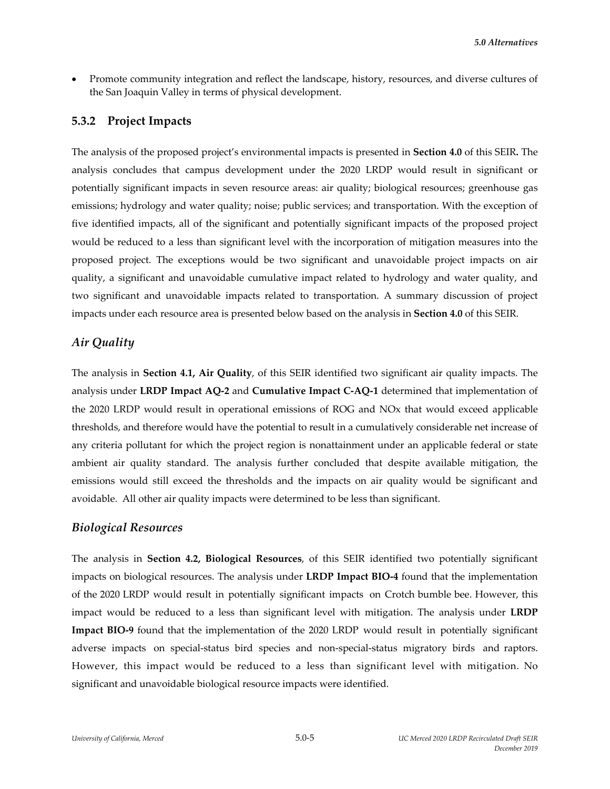Promote community integration and reflect the landscape, history, resources, and diverse cultures of the San Joaquin Valley in terms of physical development.

## **5.3.2 Project Impacts**

The analysis of the proposed project's environmental impacts is presented in **Section 4.0** of this SEIR**.** The analysis concludes that campus development under the 2020 LRDP would result in significant or potentially significant impacts in seven resource areas: air quality; biological resources; greenhouse gas emissions; hydrology and water quality; noise; public services; and transportation. With the exception of five identified impacts, all of the significant and potentially significant impacts of the proposed project would be reduced to a less than significant level with the incorporation of mitigation measures into the proposed project. The exceptions would be two significant and unavoidable project impacts on air quality, a significant and unavoidable cumulative impact related to hydrology and water quality, and two significant and unavoidable impacts related to transportation. A summary discussion of project impacts under each resource area is presented below based on the analysis in **Section 4.0** of this SEIR.

## *Air Quality*

The analysis in **Section 4.1, Air Quality**, of this SEIR identified two significant air quality impacts. The analysis under **LRDP Impact AQ‐2** and **Cumulative Impact C‐AQ‐1** determined that implementation of the 2020 LRDP would result in operational emissions of ROG and NOx that would exceed applicable thresholds, and therefore would have the potential to result in a cumulatively considerable net increase of any criteria pollutant for which the project region is nonattainment under an applicable federal or state ambient air quality standard. The analysis further concluded that despite available mitigation, the emissions would still exceed the thresholds and the impacts on air quality would be significant and avoidable. All other air quality impacts were determined to be less than significant.

## *Biological Resources*

The analysis in **Section 4.2, Biological Resources**, of this SEIR identified two potentially significant impacts on biological resources. The analysis under **LRDP Impact BIO‐4** found that the implementation of the 2020 LRDP would result in potentially significant impacts on Crotch bumble bee. However, this impact would be reduced to a less than significant level with mitigation. The analysis under **LRDP Impact BIO‐9** found that the implementation of the 2020 LRDP would result in potentially significant adverse impacts on special‐status bird species and non‐special‐status migratory birds and raptors. However, this impact would be reduced to a less than significant level with mitigation. No significant and unavoidable biological resource impacts were identified.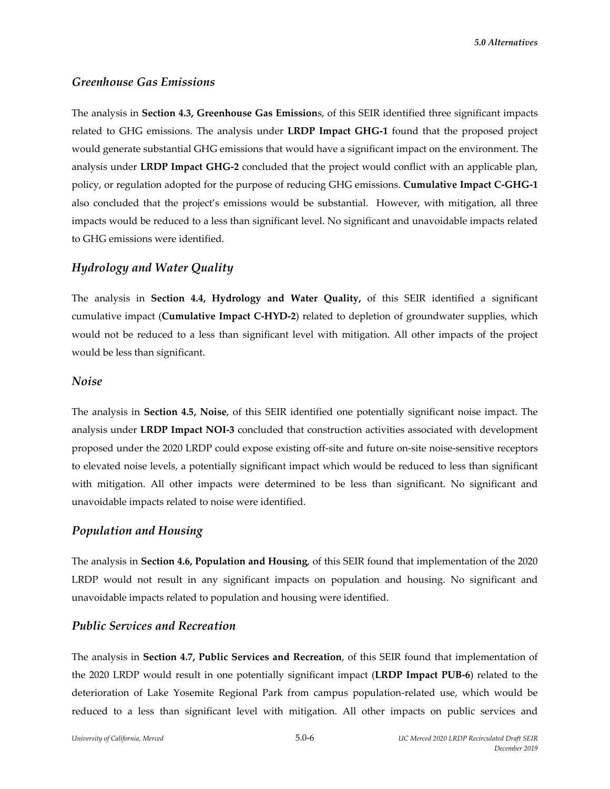## *Greenhouse Gas Emissions*

The analysis in **Section 4.3, Greenhouse Gas Emission**s, of this SEIR identified three significant impacts related to GHG emissions. The analysis under **LRDP Impact GHG‐1** found that the proposed project would generate substantial GHG emissions that would have a significant impact on the environment. The analysis under **LRDP Impact GHG‐2** concluded that the project would conflict with an applicable plan, policy, or regulation adopted for the purpose of reducing GHG emissions. **Cumulative Impact C‐GHG‐1** also concluded that the project's emissions would be substantial. However, with mitigation, all three impacts would be reduced to a less than significant level. No significant and unavoidable impacts related to GHG emissions were identified.

## *Hydrology and Water Quality*

The analysis in **Section 4.4, Hydrology and Water Quality,** of this SEIR identified a significant cumulative impact (**Cumulative Impact C‐HYD‐2**) related to depletion of groundwater supplies, which would not be reduced to a less than significant level with mitigation. All other impacts of the project would be less than significant.

## *Noise*

The analysis in **Section 4.5, Noise**, of this SEIR identified one potentially significant noise impact. The analysis under **LRDP Impact NOI‐3** concluded that construction activities associated with development proposed under the 2020 LRDP could expose existing off‐site and future on‐site noise‐sensitive receptors to elevated noise levels, a potentially significant impact which would be reduced to less than significant with mitigation. All other impacts were determined to be less than significant. No significant and unavoidable impacts related to noise were identified.

## *Population and Housing*

The analysis in **Section 4.6, Population and Housing**, of this SEIR found that implementation of the 2020 LRDP would not result in any significant impacts on population and housing. No significant and unavoidable impacts related to population and housing were identified.

## *Public Services and Recreation*

The analysis in **Section 4.7, Public Services and Recreation**, of this SEIR found that implementation of the 2020 LRDP would result in one potentially significant impact (**LRDP Impact PUB‐6**) related to the deterioration of Lake Yosemite Regional Park from campus population‐related use, which would be reduced to a less than significant level with mitigation. All other impacts on public services and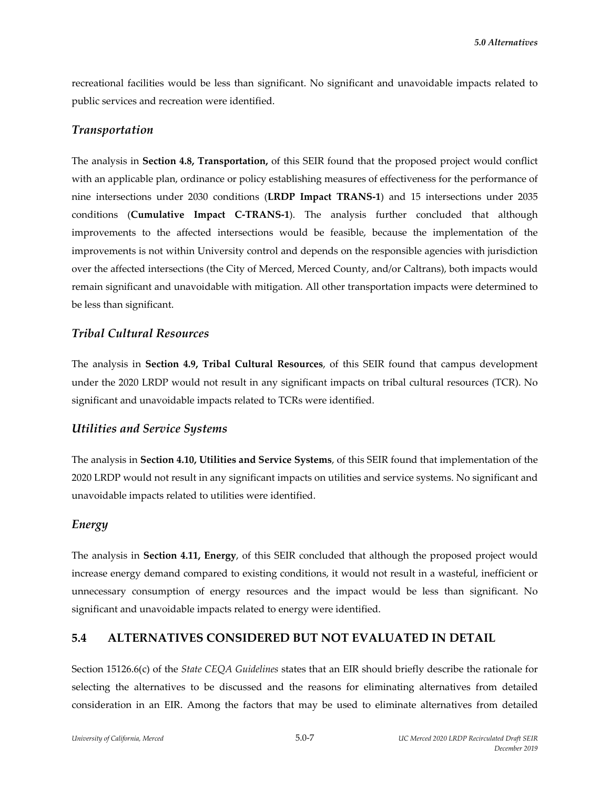recreational facilities would be less than significant. No significant and unavoidable impacts related to public services and recreation were identified.

## $Tran$ *sportation*

The analysis in **Section 4.8, Transportation,** of this SEIR found that the proposed project would conflict with an applicable plan, ordinance or policy establishing measures of effectiveness for the performance of nine intersections under 2030 conditions (**LRDP Impact TRANS‐1**) and 15 intersections under 2035 conditions (**Cumulative Impact C‐TRANS‐1**). The analysis further concluded that although improvements to the affected intersections would be feasible, because the implementation of the improvements is not within University control and depends on the responsible agencies with jurisdiction over the affected intersections (the City of Merced, Merced County, and/or Caltrans), both impacts would remain significant and unavoidable with mitigation. All other transportation impacts were determined to be less than significant.

## *Tribal Cultural Resources*

The analysis in **Section 4.9, Tribal Cultural Resources**, of this SEIR found that campus development under the 2020 LRDP would not result in any significant impacts on tribal cultural resources (TCR). No significant and unavoidable impacts related to TCRs were identified.

## *Utilities and Service Systems*

The analysis in **Section 4.10, Utilities and Service Systems**, of this SEIR found that implementation of the 2020 LRDP would not result in any significant impacts on utilities and service systems. No significant and unavoidable impacts related to utilities were identified.

## *Energy*

The analysis in **Section 4.11, Energy**, of this SEIR concluded that although the proposed project would increase energy demand compared to existing conditions, it would not result in a wasteful, inefficient or unnecessary consumption of energy resources and the impact would be less than significant. No significant and unavoidable impacts related to energy were identified.

## **5.4 ALTERNATIVES CONSIDERED BUT NOT EVALUATED IN DETAIL**

Section 15126.6(c) of the *State CEQA Guidelines* states that an EIR should briefly describe the rationale for selecting the alternatives to be discussed and the reasons for eliminating alternatives from detailed consideration in an EIR. Among the factors that may be used to eliminate alternatives from detailed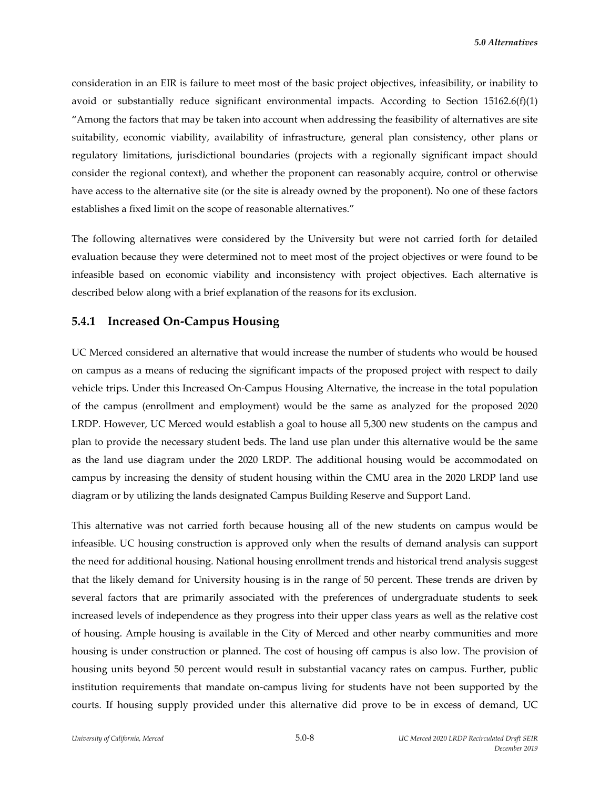consideration in an EIR is failure to meet most of the basic project objectives, infeasibility, or inability to avoid or substantially reduce significant environmental impacts. According to Section  $15162.6(f)(1)$ "Among the factors that may be taken into account when addressing the feasibility of alternatives are site suitability, economic viability, availability of infrastructure, general plan consistency, other plans or regulatory limitations, jurisdictional boundaries (projects with a regionally significant impact should consider the regional context), and whether the proponent can reasonably acquire, control or otherwise have access to the alternative site (or the site is already owned by the proponent). No one of these factors establishes a fixed limit on the scope of reasonable alternatives."

The following alternatives were considered by the University but were not carried forth for detailed evaluation because they were determined not to meet most of the project objectives or were found to be infeasible based on economic viability and inconsistency with project objectives. Each alternative is described below along with a brief explanation of the reasons for its exclusion.

## **5.4.1 Increased On‐Campus Housing**

UC Merced considered an alternative that would increase the number of students who would be housed on campus as a means of reducing the significant impacts of the proposed project with respect to daily vehicle trips. Under this Increased On‐Campus Housing Alternative, the increase in the total population of the campus (enrollment and employment) would be the same as analyzed for the proposed 2020 LRDP. However, UC Merced would establish a goal to house all 5,300 new students on the campus and plan to provide the necessary student beds. The land use plan under this alternative would be the same as the land use diagram under the 2020 LRDP. The additional housing would be accommodated on campus by increasing the density of student housing within the CMU area in the 2020 LRDP land use diagram or by utilizing the lands designated Campus Building Reserve and Support Land.

This alternative was not carried forth because housing all of the new students on campus would be infeasible. UC housing construction is approved only when the results of demand analysis can support the need for additional housing. National housing enrollment trends and historical trend analysis suggest that the likely demand for University housing is in the range of 50 percent. These trends are driven by several factors that are primarily associated with the preferences of undergraduate students to seek increased levels of independence as they progress into their upper class years as well as the relative cost of housing. Ample housing is available in the City of Merced and other nearby communities and more housing is under construction or planned. The cost of housing off campus is also low. The provision of housing units beyond 50 percent would result in substantial vacancy rates on campus. Further, public institution requirements that mandate on‐campus living for students have not been supported by the courts. If housing supply provided under this alternative did prove to be in excess of demand, UC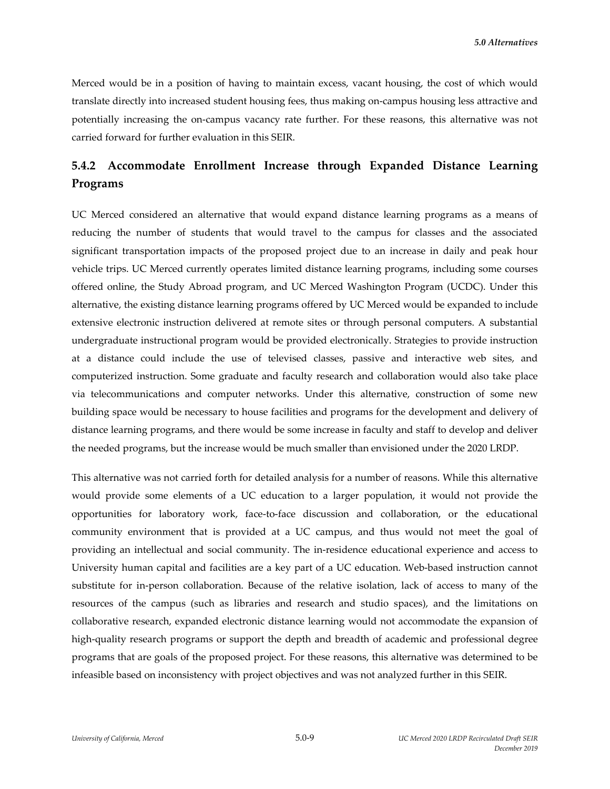Merced would be in a position of having to maintain excess, vacant housing, the cost of which would translate directly into increased student housing fees, thus making on‐campus housing less attractive and potentially increasing the on‐campus vacancy rate further. For these reasons, this alternative was not carried forward for further evaluation in this SEIR.

# **5.4.2 Accommodate Enrollment Increase through Expanded Distance Learning Programs**

UC Merced considered an alternative that would expand distance learning programs as a means of reducing the number of students that would travel to the campus for classes and the associated significant transportation impacts of the proposed project due to an increase in daily and peak hour vehicle trips. UC Merced currently operates limited distance learning programs, including some courses offered online, the Study Abroad program, and UC Merced Washington Program (UCDC). Under this alternative, the existing distance learning programs offered by UC Merced would be expanded to include extensive electronic instruction delivered at remote sites or through personal computers. A substantial undergraduate instructional program would be provided electronically. Strategies to provide instruction at a distance could include the use of televised classes, passive and interactive web sites, and computerized instruction. Some graduate and faculty research and collaboration would also take place via telecommunications and computer networks. Under this alternative, construction of some new building space would be necessary to house facilities and programs for the development and delivery of distance learning programs, and there would be some increase in faculty and staff to develop and deliver the needed programs, but the increase would be much smaller than envisioned under the 2020 LRDP.

This alternative was not carried forth for detailed analysis for a number of reasons. While this alternative would provide some elements of a UC education to a larger population, it would not provide the opportunities for laboratory work, face‐to‐face discussion and collaboration, or the educational community environment that is provided at a UC campus, and thus would not meet the goal of providing an intellectual and social community. The in‐residence educational experience and access to University human capital and facilities are a key part of a UC education. Web‐based instruction cannot substitute for in-person collaboration. Because of the relative isolation, lack of access to many of the resources of the campus (such as libraries and research and studio spaces), and the limitations on collaborative research, expanded electronic distance learning would not accommodate the expansion of high-quality research programs or support the depth and breadth of academic and professional degree programs that are goals of the proposed project. For these reasons, this alternative was determined to be infeasible based on inconsistency with project objectives and was not analyzed further in this SEIR.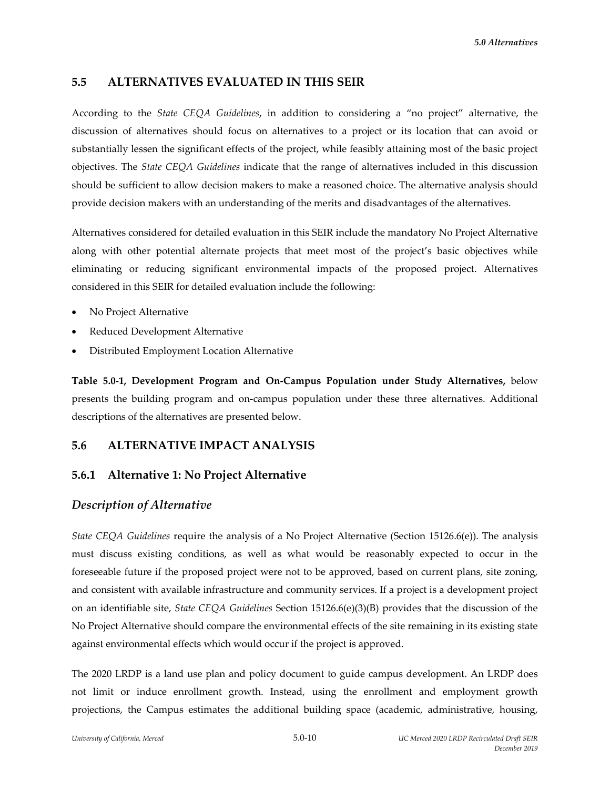## **5.5 ALTERNATIVES EVALUATED IN THIS SEIR**

According to the *State CEQA Guidelines*, in addition to considering a "no project" alternative, the discussion of alternatives should focus on alternatives to a project or its location that can avoid or substantially lessen the significant effects of the project, while feasibly attaining most of the basic project objectives. The *State CEQA Guidelines* indicate that the range of alternatives included in this discussion should be sufficient to allow decision makers to make a reasoned choice. The alternative analysis should provide decision makers with an understanding of the merits and disadvantages of the alternatives.

Alternatives considered for detailed evaluation in this SEIR include the mandatory No Project Alternative along with other potential alternate projects that meet most of the project's basic objectives while eliminating or reducing significant environmental impacts of the proposed project. Alternatives considered in this SEIR for detailed evaluation include the following:

- No Project Alternative
- Reduced Development Alternative
- Distributed Employment Location Alternative

**Table 5.0‐1, Development Program and On‐Campus Population under Study Alternatives,** below presents the building program and on‐campus population under these three alternatives. Additional descriptions of the alternatives are presented below.

## **5.6 ALTERNATIVE IMPACT ANALYSIS**

## **5.6.1 Alternative 1: No Project Alternative**

## *Description of Alternative*

*State CEQA Guidelines* require the analysis of a No Project Alternative (Section 15126.6(e)). The analysis must discuss existing conditions, as well as what would be reasonably expected to occur in the foreseeable future if the proposed project were not to be approved, based on current plans, site zoning, and consistent with available infrastructure and community services. If a project is a development project on an identifiable site, *State CEQA Guidelines* Section 15126.6(e)(3)(B) provides that the discussion of the No Project Alternative should compare the environmental effects of the site remaining in its existing state against environmental effects which would occur if the project is approved.

The 2020 LRDP is a land use plan and policy document to guide campus development. An LRDP does not limit or induce enrollment growth. Instead, using the enrollment and employment growth projections, the Campus estimates the additional building space (academic, administrative, housing,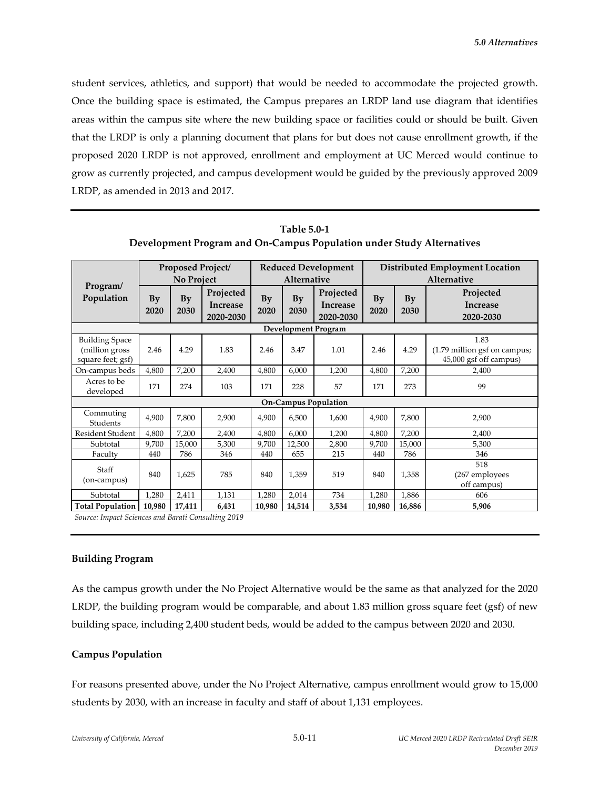student services, athletics, and support) that would be needed to accommodate the projected growth. Once the building space is estimated, the Campus prepares an LRDP land use diagram that identifies areas within the campus site where the new building space or facilities could or should be built. Given that the LRDP is only a planning document that plans for but does not cause enrollment growth, if the proposed 2020 LRDP is not approved, enrollment and employment at UC Merced would continue to grow as currently projected, and campus development would be guided by the previously approved 2009 LRDP, as amended in 2013 and 2017.

| Program/<br>Population                                        | Proposed Project/ |                   |                                    | <b>Reduced Development</b> |            |                                           | <b>Distributed Employment Location</b> |            |                                                                |  |  |  |
|---------------------------------------------------------------|-------------------|-------------------|------------------------------------|----------------------------|------------|-------------------------------------------|----------------------------------------|------------|----------------------------------------------------------------|--|--|--|
|                                                               | <b>No Project</b> |                   |                                    | <b>Alternative</b>         |            |                                           | Alternative                            |            |                                                                |  |  |  |
|                                                               | <b>By</b><br>2020 | <b>By</b><br>2030 | Projected<br>Increase<br>2020-2030 | By<br>2020                 | By<br>2030 | Projected<br><b>Increase</b><br>2020-2030 | By<br>2020                             | Bv<br>2030 | Projected<br><b>Increase</b><br>2020-2030                      |  |  |  |
| Development Program                                           |                   |                   |                                    |                            |            |                                           |                                        |            |                                                                |  |  |  |
| <b>Building Space</b><br>(million gross)<br>square feet; gsf) | 2.46              | 4.29              | 1.83                               | 2.46                       | 3.47       | 1.01                                      | 2.46                                   | 4.29       | 1.83<br>(1.79 million gsf on campus;<br>45,000 gsf off campus) |  |  |  |
| On-campus beds                                                | 4,800             | 7,200             | 2,400                              | 4,800                      | 6,000      | 1,200                                     | 4,800                                  | 7,200      | 2,400                                                          |  |  |  |
| Acres to be<br>developed                                      | 171               | 274               | 103                                | 171                        | 228        | 57                                        | 171                                    | 273        | 99                                                             |  |  |  |
| <b>On-Campus Population</b>                                   |                   |                   |                                    |                            |            |                                           |                                        |            |                                                                |  |  |  |
| Commuting<br>Students                                         | 4,900             | 7,800             | 2,900                              | 4,900                      | 6,500      | 1,600                                     | 4,900                                  | 7,800      | 2,900                                                          |  |  |  |
| Resident Student                                              | 4,800             | 7,200             | 2,400                              | 4,800                      | 6,000      | 1,200                                     | 4,800                                  | 7,200      | 2,400                                                          |  |  |  |
| Subtotal                                                      | 9,700             | 15,000            | 5,300                              | 9,700                      | 12,500     | 2,800                                     | 9,700                                  | 15,000     | 5,300                                                          |  |  |  |
| Faculty                                                       | 440               | 786               | 346                                | 440                        | 655        | 215                                       | 440                                    | 786        | 346                                                            |  |  |  |
| Staff<br>(on-campus)                                          | 840               | 1,625             | 785                                | 840                        | 1,359      | 519                                       | 840                                    | 1,358      | 518<br>(267 employees<br>off campus)                           |  |  |  |
| Subtotal                                                      | 1,280             | 2,411             | 1,131                              | 1,280                      | 2,014      | 734                                       | 1,280                                  | 1,886      | 606                                                            |  |  |  |
| <b>Total Population</b>                                       | 10,980            | 17,411            | 6,431                              | 10,980                     | 14,514     | 3,534                                     | 10,980                                 | 16,886     | 5,906                                                          |  |  |  |

**Table 5.0‐1 Development Program and On‐Campus Population under Study Alternatives**

*Source: Impact Sciences and Barati Consulting 2019* 

## **Building Program**

As the campus growth under the No Project Alternative would be the same as that analyzed for the 2020 LRDP, the building program would be comparable, and about 1.83 million gross square feet (gsf) of new building space, including 2,400 student beds, would be added to the campus between 2020 and 2030.

## **Campus Population**

For reasons presented above, under the No Project Alternative, campus enrollment would grow to 15,000 students by 2030, with an increase in faculty and staff of about 1,131 employees.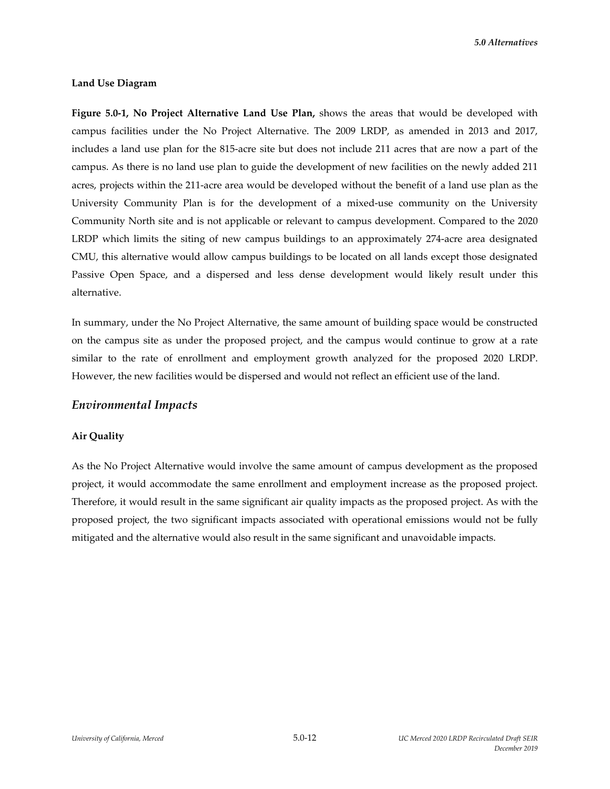#### **Land Use Diagram**

**Figure 5.0‐1, No Project Alternative Land Use Plan,** shows the areas that would be developed with campus facilities under the No Project Alternative. The 2009 LRDP, as amended in 2013 and 2017, includes a land use plan for the 815‐acre site but does not include 211 acres that are now a part of the campus. As there is no land use plan to guide the development of new facilities on the newly added 211 acres, projects within the 211‐acre area would be developed without the benefit of a land use plan as the University Community Plan is for the development of a mixed-use community on the University Community North site and is not applicable or relevant to campus development. Compared to the 2020 LRDP which limits the siting of new campus buildings to an approximately 274–acre area designated CMU, this alternative would allow campus buildings to be located on all lands except those designated Passive Open Space, and a dispersed and less dense development would likely result under this alternative.

In summary, under the No Project Alternative, the same amount of building space would be constructed on the campus site as under the proposed project, and the campus would continue to grow at a rate similar to the rate of enrollment and employment growth analyzed for the proposed 2020 LRDP. However, the new facilities would be dispersed and would not reflect an efficient use of the land.

## *Environmental Impacts*

### **Air Quality**

As the No Project Alternative would involve the same amount of campus development as the proposed project, it would accommodate the same enrollment and employment increase as the proposed project. Therefore, it would result in the same significant air quality impacts as the proposed project. As with the proposed project, the two significant impacts associated with operational emissions would not be fully mitigated and the alternative would also result in the same significant and unavoidable impacts.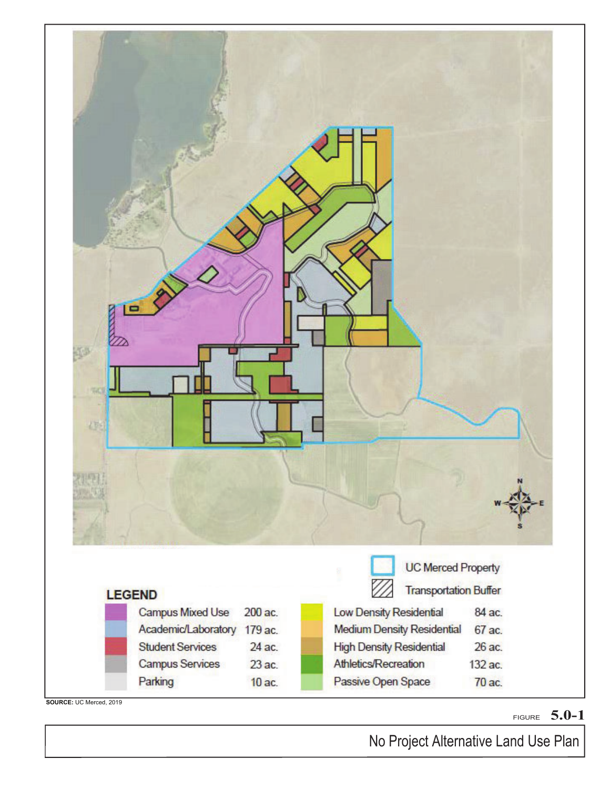

FIGURE  $5.0-1$ 

No Project Alternative Land Use Plan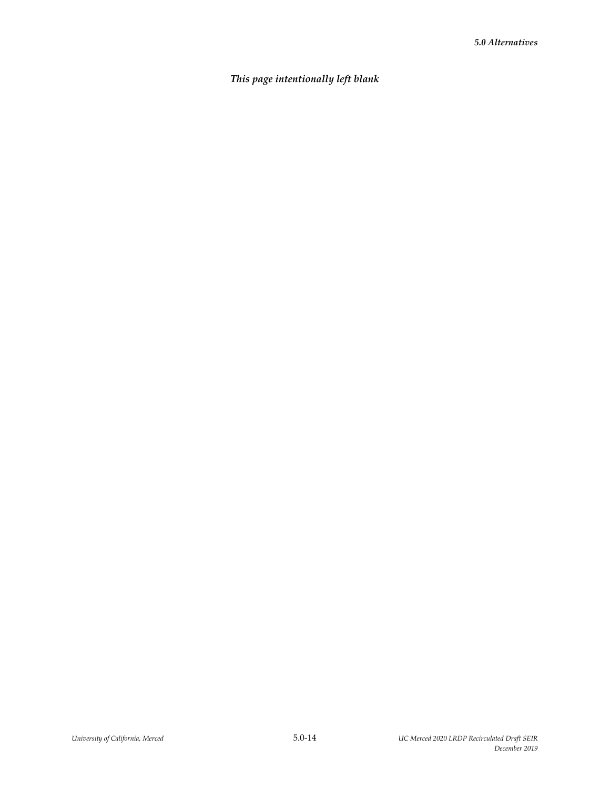# *This page intentionally left blank*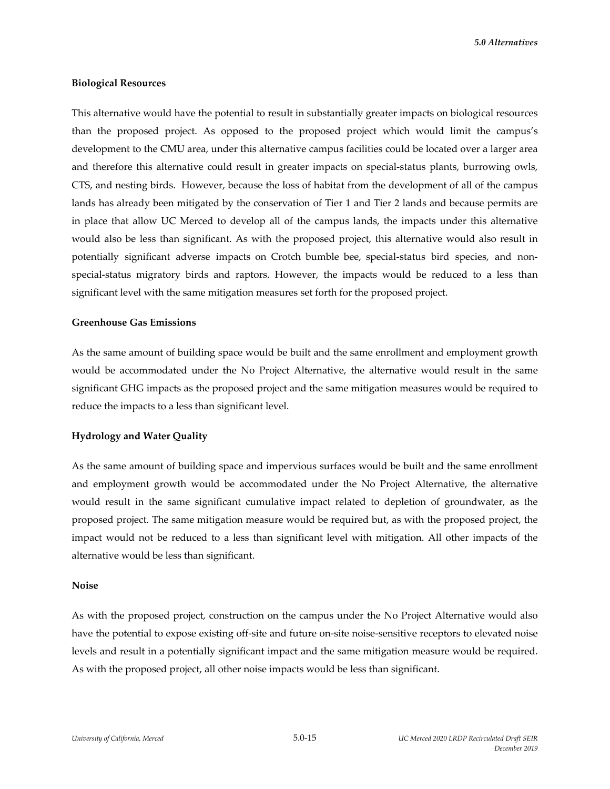#### **Biological Resources**

This alternative would have the potential to result in substantially greater impacts on biological resources than the proposed project. As opposed to the proposed project which would limit the campus's development to the CMU area, under this alternative campus facilities could be located over a larger area and therefore this alternative could result in greater impacts on special-status plants, burrowing owls, CTS, and nesting birds. However, because the loss of habitat from the development of all of the campus lands has already been mitigated by the conservation of Tier 1 and Tier 2 lands and because permits are in place that allow UC Merced to develop all of the campus lands, the impacts under this alternative would also be less than significant. As with the proposed project, this alternative would also result in potentially significant adverse impacts on Crotch bumble bee, special-status bird species, and nonspecial-status migratory birds and raptors. However, the impacts would be reduced to a less than significant level with the same mitigation measures set forth for the proposed project.

## **Greenhouse Gas Emissions**

As the same amount of building space would be built and the same enrollment and employment growth would be accommodated under the No Project Alternative, the alternative would result in the same significant GHG impacts as the proposed project and the same mitigation measures would be required to reduce the impacts to a less than significant level.

### **Hydrology and Water Quality**

As the same amount of building space and impervious surfaces would be built and the same enrollment and employment growth would be accommodated under the No Project Alternative, the alternative would result in the same significant cumulative impact related to depletion of groundwater, as the proposed project. The same mitigation measure would be required but, as with the proposed project, the impact would not be reduced to a less than significant level with mitigation. All other impacts of the alternative would be less than significant.

### **Noise**

As with the proposed project, construction on the campus under the No Project Alternative would also have the potential to expose existing off-site and future on-site noise-sensitive receptors to elevated noise levels and result in a potentially significant impact and the same mitigation measure would be required. As with the proposed project, all other noise impacts would be less than significant.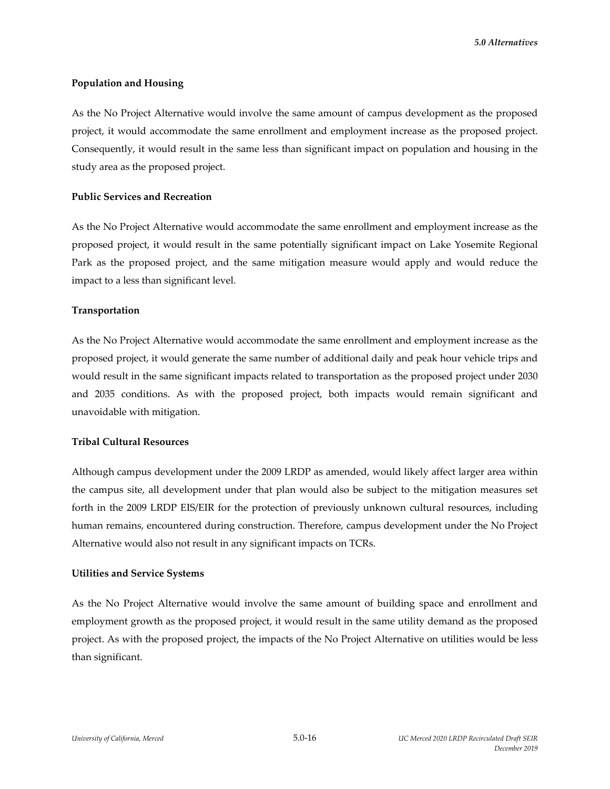#### **Population and Housing**

As the No Project Alternative would involve the same amount of campus development as the proposed project, it would accommodate the same enrollment and employment increase as the proposed project. Consequently, it would result in the same less than significant impact on population and housing in the study area as the proposed project.

### **Public Services and Recreation**

As the No Project Alternative would accommodate the same enrollment and employment increase as the proposed project, it would result in the same potentially significant impact on Lake Yosemite Regional Park as the proposed project, and the same mitigation measure would apply and would reduce the impact to a less than significant level.

### **Transportation**

As the No Project Alternative would accommodate the same enrollment and employment increase as the proposed project, it would generate the same number of additional daily and peak hour vehicle trips and would result in the same significant impacts related to transportation as the proposed project under 2030 and 2035 conditions. As with the proposed project, both impacts would remain significant and unavoidable with mitigation.

### **Tribal Cultural Resources**

Although campus development under the 2009 LRDP as amended, would likely affect larger area within the campus site, all development under that plan would also be subject to the mitigation measures set forth in the 2009 LRDP EIS/EIR for the protection of previously unknown cultural resources, including human remains, encountered during construction. Therefore, campus development under the No Project Alternative would also not result in any significant impacts on TCRs.

### **Utilities and Service Systems**

As the No Project Alternative would involve the same amount of building space and enrollment and employment growth as the proposed project, it would result in the same utility demand as the proposed project. As with the proposed project, the impacts of the No Project Alternative on utilities would be less than significant.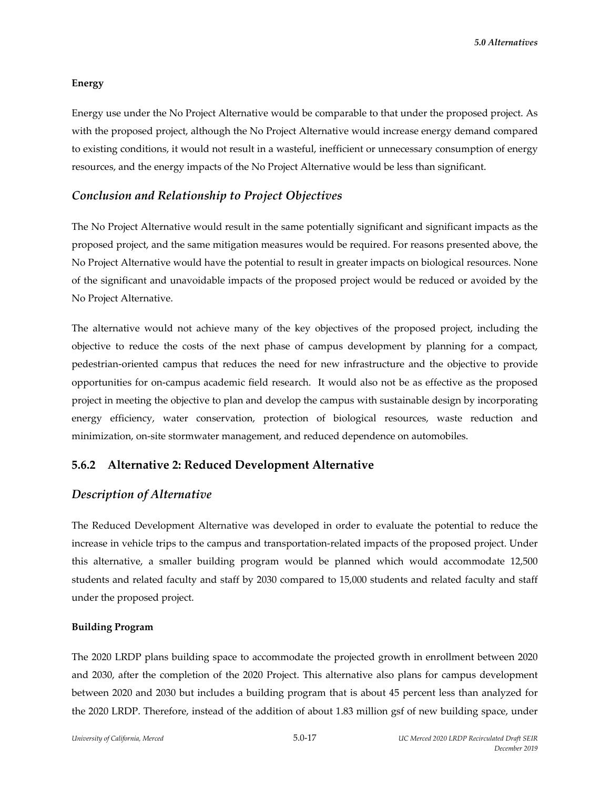### **Energy**

Energy use under the No Project Alternative would be comparable to that under the proposed project. As with the proposed project, although the No Project Alternative would increase energy demand compared to existing conditions, it would not result in a wasteful, inefficient or unnecessary consumption of energy resources, and the energy impacts of the No Project Alternative would be less than significant.

### *Conclusion and Relationship to Project Objectives*

The No Project Alternative would result in the same potentially significant and significant impacts as the proposed project, and the same mitigation measures would be required. For reasons presented above, the No Project Alternative would have the potential to result in greater impacts on biological resources. None of the significant and unavoidable impacts of the proposed project would be reduced or avoided by the No Project Alternative.

The alternative would not achieve many of the key objectives of the proposed project, including the objective to reduce the costs of the next phase of campus development by planning for a compact, pedestrian‐oriented campus that reduces the need for new infrastructure and the objective to provide opportunities for on‐campus academic field research. It would also not be as effective as the proposed project in meeting the objective to plan and develop the campus with sustainable design by incorporating energy efficiency, water conservation, protection of biological resources, waste reduction and minimization, on‐site stormwater management, and reduced dependence on automobiles.

## **5.6.2 Alternative 2: Reduced Development Alternative**

## *Description of Alternative*

The Reduced Development Alternative was developed in order to evaluate the potential to reduce the increase in vehicle trips to the campus and transportation‐related impacts of the proposed project. Under this alternative, a smaller building program would be planned which would accommodate 12,500 students and related faculty and staff by 2030 compared to 15,000 students and related faculty and staff under the proposed project.

### **Building Program**

The 2020 LRDP plans building space to accommodate the projected growth in enrollment between 2020 and 2030, after the completion of the 2020 Project. This alternative also plans for campus development between 2020 and 2030 but includes a building program that is about 45 percent less than analyzed for the 2020 LRDP. Therefore, instead of the addition of about 1.83 million gsf of new building space, under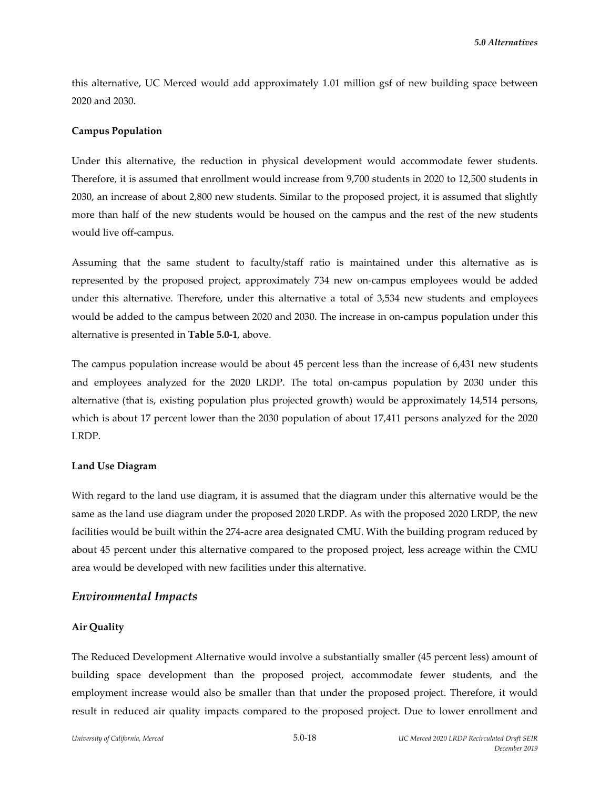this alternative, UC Merced would add approximately 1.01 million gsf of new building space between 2020 and 2030.

### **Campus Population**

Under this alternative, the reduction in physical development would accommodate fewer students. Therefore, it is assumed that enrollment would increase from 9,700 students in 2020 to 12,500 students in 2030, an increase of about 2,800 new students. Similar to the proposed project, it is assumed that slightly more than half of the new students would be housed on the campus and the rest of the new students would live off‐campus.

Assuming that the same student to faculty/staff ratio is maintained under this alternative as is represented by the proposed project, approximately 734 new on‐campus employees would be added under this alternative. Therefore, under this alternative a total of 3,534 new students and employees would be added to the campus between 2020 and 2030. The increase in on‐campus population under this alternative is presented in **Table 5.0‐1**, above.

The campus population increase would be about 45 percent less than the increase of 6,431 new students and employees analyzed for the 2020 LRDP. The total on‐campus population by 2030 under this alternative (that is, existing population plus projected growth) would be approximately 14,514 persons, which is about 17 percent lower than the 2030 population of about 17,411 persons analyzed for the 2020 LRDP.

### **Land Use Diagram**

With regard to the land use diagram, it is assumed that the diagram under this alternative would be the same as the land use diagram under the proposed 2020 LRDP. As with the proposed 2020 LRDP, the new facilities would be built within the 274‐acre area designated CMU. With the building program reduced by about 45 percent under this alternative compared to the proposed project, less acreage within the CMU area would be developed with new facilities under this alternative.

## *Environmental Impacts*

### **Air Quality**

The Reduced Development Alternative would involve a substantially smaller (45 percent less) amount of building space development than the proposed project, accommodate fewer students, and the employment increase would also be smaller than that under the proposed project. Therefore, it would result in reduced air quality impacts compared to the proposed project. Due to lower enrollment and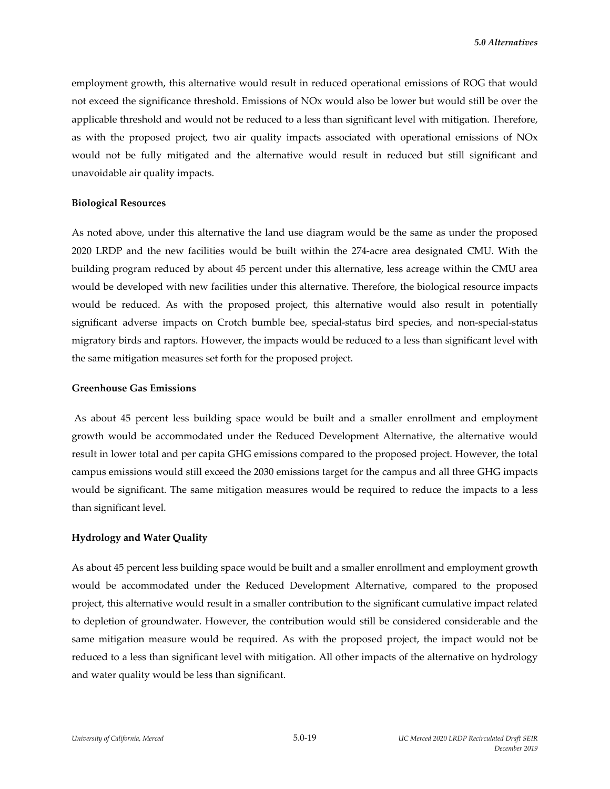employment growth, this alternative would result in reduced operational emissions of ROG that would not exceed the significance threshold. Emissions of NOx would also be lower but would still be over the applicable threshold and would not be reduced to a less than significant level with mitigation. Therefore, as with the proposed project, two air quality impacts associated with operational emissions of NOx would not be fully mitigated and the alternative would result in reduced but still significant and unavoidable air quality impacts.

#### **Biological Resources**

As noted above, under this alternative the land use diagram would be the same as under the proposed 2020 LRDP and the new facilities would be built within the 274‐acre area designated CMU. With the building program reduced by about 45 percent under this alternative, less acreage within the CMU area would be developed with new facilities under this alternative. Therefore, the biological resource impacts would be reduced. As with the proposed project, this alternative would also result in potentially significant adverse impacts on Crotch bumble bee, special-status bird species, and non-special-status migratory birds and raptors. However, the impacts would be reduced to a less than significant level with the same mitigation measures set forth for the proposed project.

### **Greenhouse Gas Emissions**

As about 45 percent less building space would be built and a smaller enrollment and employment growth would be accommodated under the Reduced Development Alternative, the alternative would result in lower total and per capita GHG emissions compared to the proposed project. However, the total campus emissions would still exceed the 2030 emissions target for the campus and all three GHG impacts would be significant. The same mitigation measures would be required to reduce the impacts to a less than significant level.

#### **Hydrology and Water Quality**

As about 45 percent less building space would be built and a smaller enrollment and employment growth would be accommodated under the Reduced Development Alternative, compared to the proposed project, this alternative would result in a smaller contribution to the significant cumulative impact related to depletion of groundwater. However, the contribution would still be considered considerable and the same mitigation measure would be required. As with the proposed project, the impact would not be reduced to a less than significant level with mitigation. All other impacts of the alternative on hydrology and water quality would be less than significant.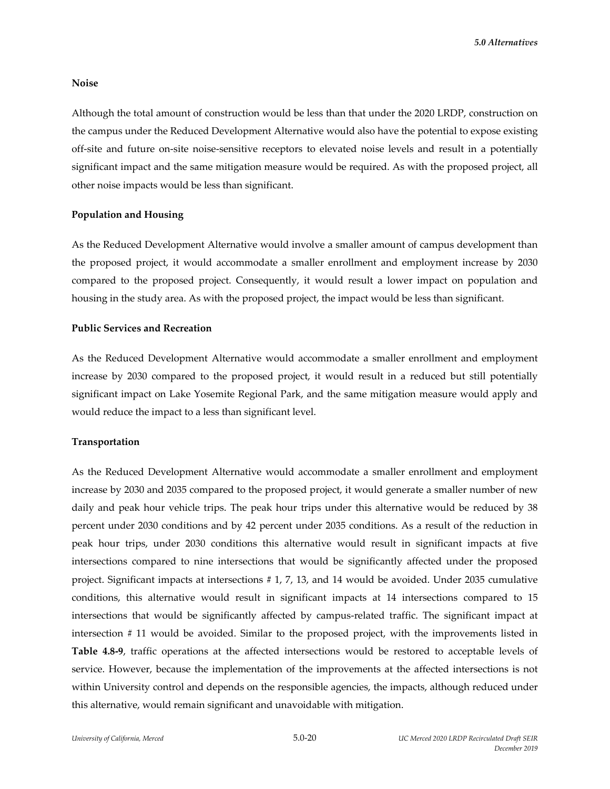#### **Noise**

Although the total amount of construction would be less than that under the 2020 LRDP, construction on the campus under the Reduced Development Alternative would also have the potential to expose existing off‐site and future on‐site noise‐sensitive receptors to elevated noise levels and result in a potentially significant impact and the same mitigation measure would be required. As with the proposed project, all other noise impacts would be less than significant.

### **Population and Housing**

As the Reduced Development Alternative would involve a smaller amount of campus development than the proposed project, it would accommodate a smaller enrollment and employment increase by 2030 compared to the proposed project. Consequently, it would result a lower impact on population and housing in the study area. As with the proposed project, the impact would be less than significant.

### **Public Services and Recreation**

As the Reduced Development Alternative would accommodate a smaller enrollment and employment increase by 2030 compared to the proposed project, it would result in a reduced but still potentially significant impact on Lake Yosemite Regional Park, and the same mitigation measure would apply and would reduce the impact to a less than significant level.

### **Transportation**

As the Reduced Development Alternative would accommodate a smaller enrollment and employment increase by 2030 and 2035 compared to the proposed project, it would generate a smaller number of new daily and peak hour vehicle trips. The peak hour trips under this alternative would be reduced by 38 percent under 2030 conditions and by 42 percent under 2035 conditions. As a result of the reduction in peak hour trips, under 2030 conditions this alternative would result in significant impacts at five intersections compared to nine intersections that would be significantly affected under the proposed project. Significant impacts at intersections # 1, 7, 13, and 14 would be avoided. Under 2035 cumulative conditions, this alternative would result in significant impacts at 14 intersections compared to 15 intersections that would be significantly affected by campus‐related traffic. The significant impact at intersection # 11 would be avoided. Similar to the proposed project, with the improvements listed in **Table 4.8‐9**, traffic operations at the affected intersections would be restored to acceptable levels of service. However, because the implementation of the improvements at the affected intersections is not within University control and depends on the responsible agencies, the impacts, although reduced under this alternative, would remain significant and unavoidable with mitigation.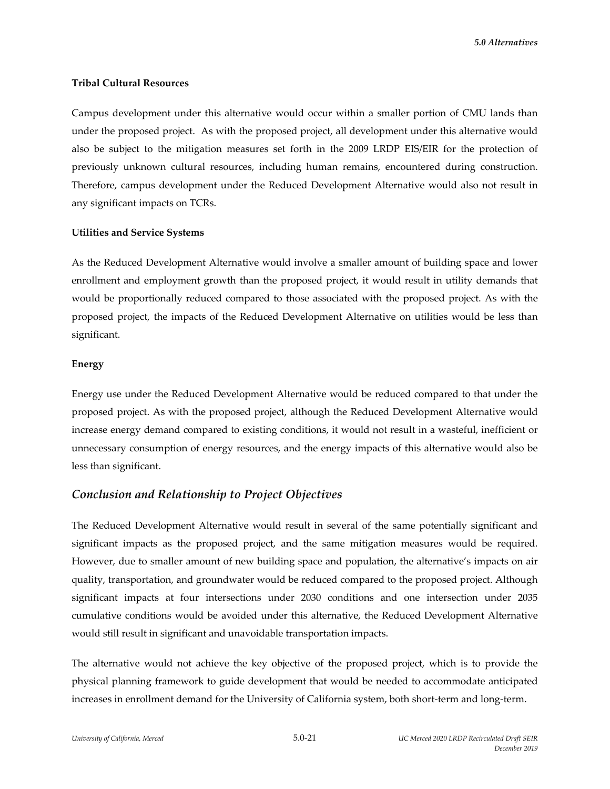#### **Tribal Cultural Resources**

Campus development under this alternative would occur within a smaller portion of CMU lands than under the proposed project. As with the proposed project, all development under this alternative would also be subject to the mitigation measures set forth in the 2009 LRDP EIS/EIR for the protection of previously unknown cultural resources, including human remains, encountered during construction. Therefore, campus development under the Reduced Development Alternative would also not result in any significant impacts on TCRs.

### **Utilities and Service Systems**

As the Reduced Development Alternative would involve a smaller amount of building space and lower enrollment and employment growth than the proposed project, it would result in utility demands that would be proportionally reduced compared to those associated with the proposed project. As with the proposed project, the impacts of the Reduced Development Alternative on utilities would be less than significant.

### **Energy**

Energy use under the Reduced Development Alternative would be reduced compared to that under the proposed project. As with the proposed project, although the Reduced Development Alternative would increase energy demand compared to existing conditions, it would not result in a wasteful, inefficient or unnecessary consumption of energy resources, and the energy impacts of this alternative would also be less than significant.

## *Conclusion and Relationship to Project Objectives*

The Reduced Development Alternative would result in several of the same potentially significant and significant impacts as the proposed project, and the same mitigation measures would be required. However, due to smaller amount of new building space and population, the alternative's impacts on air quality, transportation, and groundwater would be reduced compared to the proposed project. Although significant impacts at four intersections under 2030 conditions and one intersection under 2035 cumulative conditions would be avoided under this alternative, the Reduced Development Alternative would still result in significant and unavoidable transportation impacts.

The alternative would not achieve the key objective of the proposed project, which is to provide the physical planning framework to guide development that would be needed to accommodate anticipated increases in enrollment demand for the University of California system, both short-term and long-term.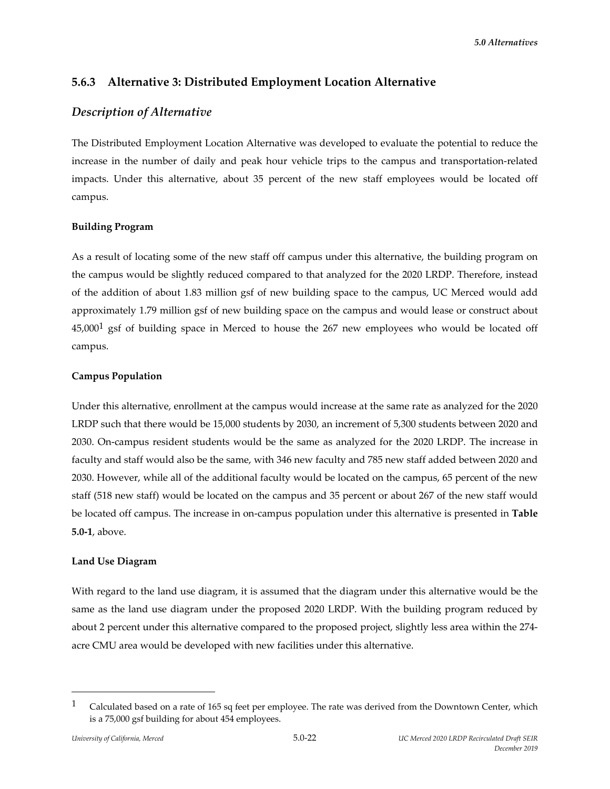# **5.6.3 Alternative 3: Distributed Employment Location Alternative**

## *Description of Alternative*

The Distributed Employment Location Alternative was developed to evaluate the potential to reduce the increase in the number of daily and peak hour vehicle trips to the campus and transportation‐related impacts. Under this alternative, about 35 percent of the new staff employees would be located off campus.

## **Building Program**

As a result of locating some of the new staff off campus under this alternative, the building program on the campus would be slightly reduced compared to that analyzed for the 2020 LRDP. Therefore, instead of the addition of about 1.83 million gsf of new building space to the campus, UC Merced would add approximately 1.79 million gsf of new building space on the campus and would lease or construct about  $45,000<sup>1</sup>$  gsf of building space in Merced to house the 267 new employees who would be located off campus.

## **Campus Population**

Under this alternative, enrollment at the campus would increase at the same rate as analyzed for the 2020 LRDP such that there would be 15,000 students by 2030, an increment of 5,300 students between 2020 and 2030. On-campus resident students would be the same as analyzed for the 2020 LRDP. The increase in faculty and staff would also be the same, with 346 new faculty and 785 new staff added between 2020 and 2030. However, while all of the additional faculty would be located on the campus, 65 percent of the new staff (518 new staff) would be located on the campus and 35 percent or about 267 of the new staff would be located off campus. The increase in on‐campus population under this alternative is presented in **Table 5.0‐1**, above.

## **Land Use Diagram**

With regard to the land use diagram, it is assumed that the diagram under this alternative would be the same as the land use diagram under the proposed 2020 LRDP. With the building program reduced by about 2 percent under this alternative compared to the proposed project, slightly less area within the 274‐ acre CMU area would be developed with new facilities under this alternative.

<sup>&</sup>lt;sup>1</sup> Calculated based on a rate of 165 sq feet per employee. The rate was derived from the Downtown Center, which is a 75,000 gsf building for about 454 employees.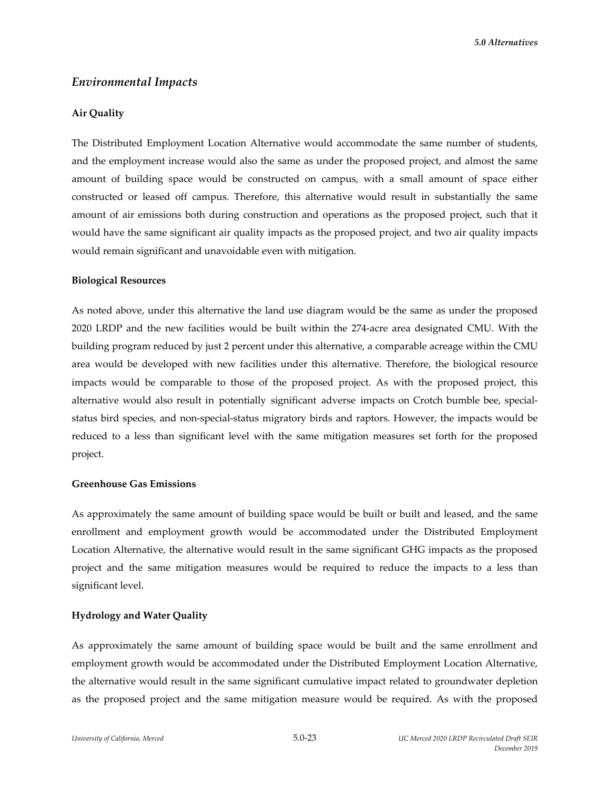## *Environmental Impacts*

### **Air Quality**

The Distributed Employment Location Alternative would accommodate the same number of students, and the employment increase would also the same as under the proposed project, and almost the same amount of building space would be constructed on campus, with a small amount of space either constructed or leased off campus. Therefore, this alternative would result in substantially the same amount of air emissions both during construction and operations as the proposed project, such that it would have the same significant air quality impacts as the proposed project, and two air quality impacts would remain significant and unavoidable even with mitigation.

### **Biological Resources**

As noted above, under this alternative the land use diagram would be the same as under the proposed 2020 LRDP and the new facilities would be built within the 274‐acre area designated CMU. With the building program reduced by just 2 percent under this alternative, a comparable acreage within the CMU area would be developed with new facilities under this alternative. Therefore, the biological resource impacts would be comparable to those of the proposed project. As with the proposed project, this alternative would also result in potentially significant adverse impacts on Crotch bumble bee, specialstatus bird species, and non‐special‐status migratory birds and raptors. However, the impacts would be reduced to a less than significant level with the same mitigation measures set forth for the proposed project.

### **Greenhouse Gas Emissions**

As approximately the same amount of building space would be built or built and leased, and the same enrollment and employment growth would be accommodated under the Distributed Employment Location Alternative, the alternative would result in the same significant GHG impacts as the proposed project and the same mitigation measures would be required to reduce the impacts to a less than significant level.

## **Hydrology and Water Quality**

As approximately the same amount of building space would be built and the same enrollment and employment growth would be accommodated under the Distributed Employment Location Alternative, the alternative would result in the same significant cumulative impact related to groundwater depletion as the proposed project and the same mitigation measure would be required. As with the proposed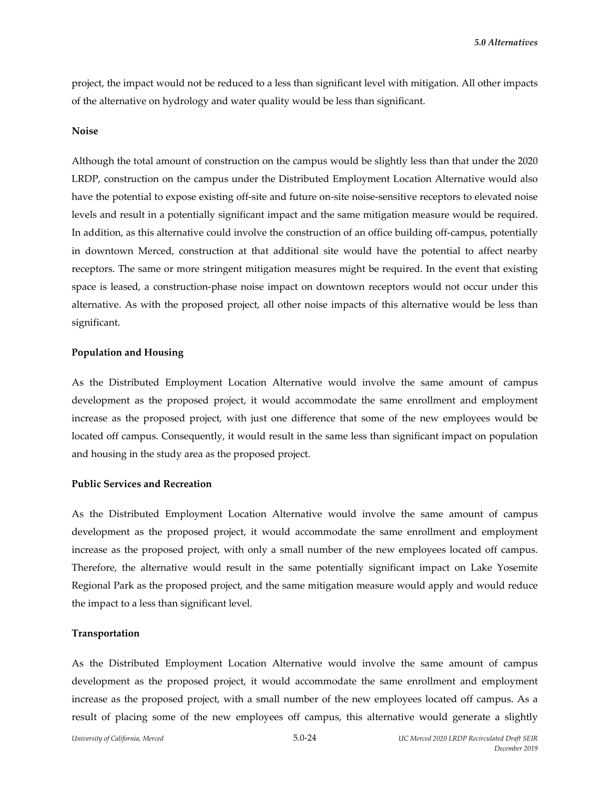project, the impact would not be reduced to a less than significant level with mitigation. All other impacts of the alternative on hydrology and water quality would be less than significant.

### **Noise**

Although the total amount of construction on the campus would be slightly less than that under the 2020 LRDP, construction on the campus under the Distributed Employment Location Alternative would also have the potential to expose existing off-site and future on-site noise-sensitive receptors to elevated noise levels and result in a potentially significant impact and the same mitigation measure would be required. In addition, as this alternative could involve the construction of an office building off-campus, potentially in downtown Merced, construction at that additional site would have the potential to affect nearby receptors. The same or more stringent mitigation measures might be required. In the event that existing space is leased, a construction-phase noise impact on downtown receptors would not occur under this alternative. As with the proposed project, all other noise impacts of this alternative would be less than significant.

### **Population and Housing**

As the Distributed Employment Location Alternative would involve the same amount of campus development as the proposed project, it would accommodate the same enrollment and employment increase as the proposed project, with just one difference that some of the new employees would be located off campus. Consequently, it would result in the same less than significant impact on population and housing in the study area as the proposed project.

#### **Public Services and Recreation**

As the Distributed Employment Location Alternative would involve the same amount of campus development as the proposed project, it would accommodate the same enrollment and employment increase as the proposed project, with only a small number of the new employees located off campus. Therefore, the alternative would result in the same potentially significant impact on Lake Yosemite Regional Park as the proposed project, and the same mitigation measure would apply and would reduce the impact to a less than significant level.

### **Transportation**

As the Distributed Employment Location Alternative would involve the same amount of campus development as the proposed project, it would accommodate the same enrollment and employment increase as the proposed project, with a small number of the new employees located off campus. As a result of placing some of the new employees off campus, this alternative would generate a slightly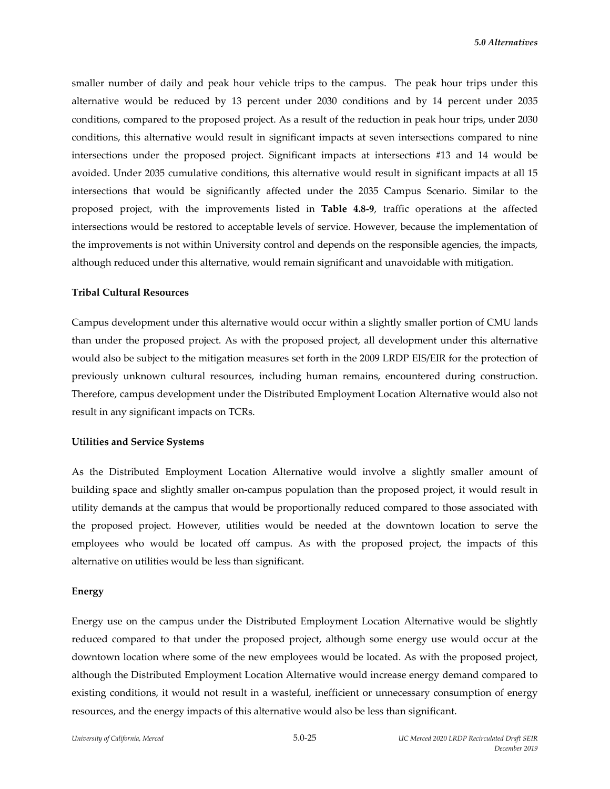smaller number of daily and peak hour vehicle trips to the campus. The peak hour trips under this alternative would be reduced by 13 percent under 2030 conditions and by 14 percent under 2035 conditions, compared to the proposed project. As a result of the reduction in peak hour trips, under 2030 conditions, this alternative would result in significant impacts at seven intersections compared to nine intersections under the proposed project. Significant impacts at intersections #13 and 14 would be avoided. Under 2035 cumulative conditions, this alternative would result in significant impacts at all 15 intersections that would be significantly affected under the 2035 Campus Scenario. Similar to the proposed project, with the improvements listed in **Table 4.8‐9**, traffic operations at the affected intersections would be restored to acceptable levels of service. However, because the implementation of the improvements is not within University control and depends on the responsible agencies, the impacts, although reduced under this alternative, would remain significant and unavoidable with mitigation.

### **Tribal Cultural Resources**

Campus development under this alternative would occur within a slightly smaller portion of CMU lands than under the proposed project. As with the proposed project, all development under this alternative would also be subject to the mitigation measures set forth in the 2009 LRDP EIS/EIR for the protection of previously unknown cultural resources, including human remains, encountered during construction. Therefore, campus development under the Distributed Employment Location Alternative would also not result in any significant impacts on TCRs.

#### **Utilities and Service Systems**

As the Distributed Employment Location Alternative would involve a slightly smaller amount of building space and slightly smaller on‐campus population than the proposed project, it would result in utility demands at the campus that would be proportionally reduced compared to those associated with the proposed project. However, utilities would be needed at the downtown location to serve the employees who would be located off campus. As with the proposed project, the impacts of this alternative on utilities would be less than significant.

#### **Energy**

Energy use on the campus under the Distributed Employment Location Alternative would be slightly reduced compared to that under the proposed project, although some energy use would occur at the downtown location where some of the new employees would be located. As with the proposed project, although the Distributed Employment Location Alternative would increase energy demand compared to existing conditions, it would not result in a wasteful, inefficient or unnecessary consumption of energy resources, and the energy impacts of this alternative would also be less than significant.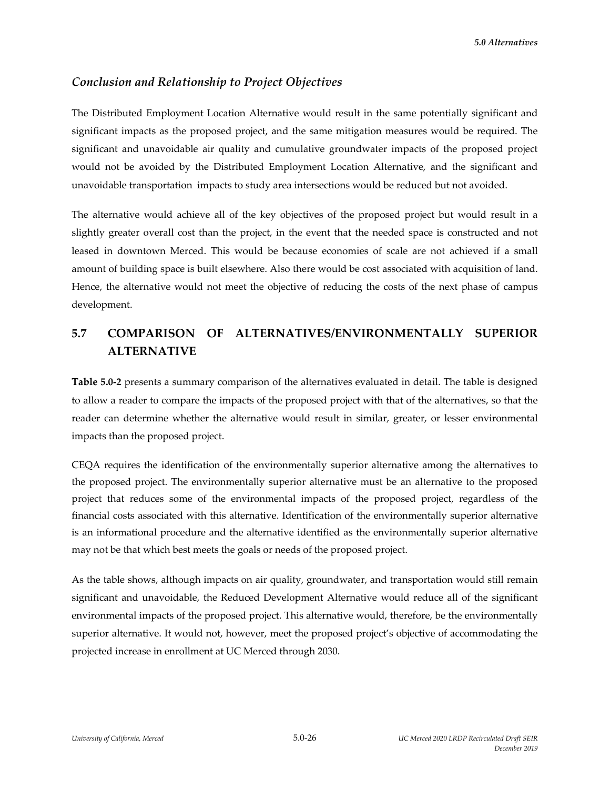## *Conclusion and Relationship to Project Objectives*

The Distributed Employment Location Alternative would result in the same potentially significant and significant impacts as the proposed project, and the same mitigation measures would be required. The significant and unavoidable air quality and cumulative groundwater impacts of the proposed project would not be avoided by the Distributed Employment Location Alternative, and the significant and unavoidable transportation impacts to study area intersections would be reduced but not avoided.

The alternative would achieve all of the key objectives of the proposed project but would result in a slightly greater overall cost than the project, in the event that the needed space is constructed and not leased in downtown Merced. This would be because economies of scale are not achieved if a small amount of building space is built elsewhere. Also there would be cost associated with acquisition of land. Hence, the alternative would not meet the objective of reducing the costs of the next phase of campus development.

# **5.7 COMPARISON OF ALTERNATIVES/ENVIRONMENTALLY SUPERIOR ALTERNATIVE**

**Table 5.0‐2** presents a summary comparison of the alternatives evaluated in detail. The table is designed to allow a reader to compare the impacts of the proposed project with that of the alternatives, so that the reader can determine whether the alternative would result in similar, greater, or lesser environmental impacts than the proposed project.

CEQA requires the identification of the environmentally superior alternative among the alternatives to the proposed project. The environmentally superior alternative must be an alternative to the proposed project that reduces some of the environmental impacts of the proposed project, regardless of the financial costs associated with this alternative. Identification of the environmentally superior alternative is an informational procedure and the alternative identified as the environmentally superior alternative may not be that which best meets the goals or needs of the proposed project.

As the table shows, although impacts on air quality, groundwater, and transportation would still remain significant and unavoidable, the Reduced Development Alternative would reduce all of the significant environmental impacts of the proposed project. This alternative would, therefore, be the environmentally superior alternative. It would not, however, meet the proposed project's objective of accommodating the projected increase in enrollment at UC Merced through 2030.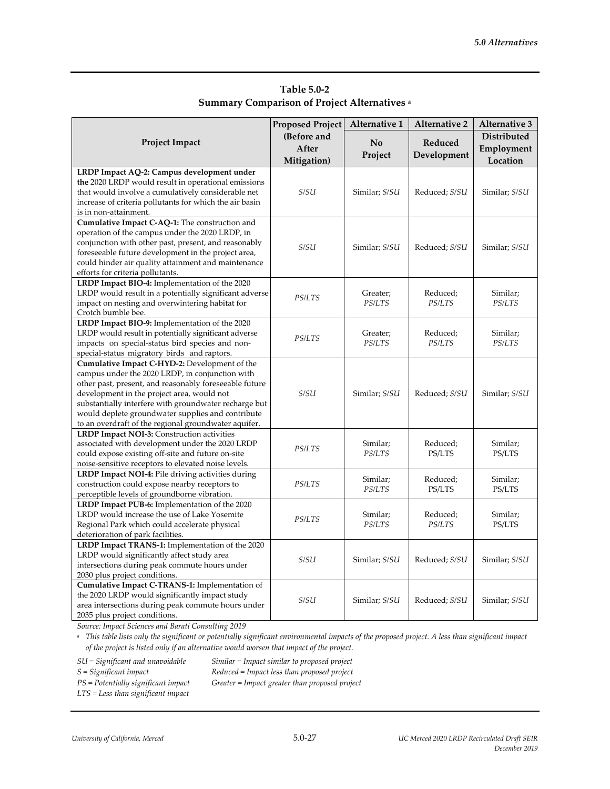|                                                                                                                                                                                                                                                                                                                                                                                | <b>Proposed Project</b>             | Alternative 1             | <b>Alternative 2</b>      | Alternative 3                         |
|--------------------------------------------------------------------------------------------------------------------------------------------------------------------------------------------------------------------------------------------------------------------------------------------------------------------------------------------------------------------------------|-------------------------------------|---------------------------|---------------------------|---------------------------------------|
| Project Impact                                                                                                                                                                                                                                                                                                                                                                 | (Before and<br>After<br>Mitigation) | No<br>Project             | Reduced<br>Development    | Distributed<br>Employment<br>Location |
| LRDP Impact AQ-2: Campus development under<br>the 2020 LRDP would result in operational emissions<br>that would involve a cumulatively considerable net<br>increase of criteria pollutants for which the air basin<br>is in non-attainment.                                                                                                                                    | S/SU                                | Similar; S/SU             | Reduced; S/SU             | Similar; S/SU                         |
| Cumulative Impact C-AQ-1: The construction and<br>operation of the campus under the 2020 LRDP, in<br>conjunction with other past, present, and reasonably<br>foreseeable future development in the project area,<br>could hinder air quality attainment and maintenance<br>efforts for criteria pollutants.                                                                    | S/SU                                | Similar; S/SU             | Reduced; S/SU             | Similar; S/SU                         |
| LRDP Impact BIO-4: Implementation of the 2020<br>LRDP would result in a potentially significant adverse<br>impact on nesting and overwintering habitat for<br>Crotch bumble bee.                                                                                                                                                                                               | <b>PS/LTS</b>                       | Greater;<br>PS/LTS        | Reduced;<br>PS/LTS        | Similar;<br><b>PS/LTS</b>             |
| LRDP Impact BIO-9: Implementation of the 2020<br>LRDP would result in potentially significant adverse<br>impacts on special-status bird species and non-<br>special-status migratory birds and raptors.                                                                                                                                                                        | <b>PS/LTS</b>                       | Greater;<br>PS/LTS        | Reduced;<br>PS/LTS        | Similar;<br>PS/LTS                    |
| Cumulative Impact C-HYD-2: Development of the<br>campus under the 2020 LRDP, in conjunction with<br>other past, present, and reasonably foreseeable future<br>development in the project area, would not<br>substantially interfere with groundwater recharge but<br>would deplete groundwater supplies and contribute<br>to an overdraft of the regional groundwater aquifer. | S/SU                                | Similar; S/SU             | Reduced; S/SU             | Similar; S/SU                         |
| LRDP Impact NOI-3: Construction activities<br>associated with development under the 2020 LRDP<br>could expose existing off-site and future on-site<br>noise-sensitive receptors to elevated noise levels.                                                                                                                                                                      | <b>PS/LTS</b>                       | Similar;<br><b>PS/LTS</b> | Reduced;<br>PS/LTS        | Similar;<br>PS/LTS                    |
| LRDP Impact NOI-4: Pile driving activities during<br>construction could expose nearby receptors to<br>perceptible levels of groundborne vibration.                                                                                                                                                                                                                             | PS/LTS                              | Similar;<br>PS/LTS        | Reduced;<br>PS/LTS        | Similar;<br>PS/LTS                    |
| LRDP Impact PUB-6: Implementation of the 2020<br>LRDP would increase the use of Lake Yosemite<br>Regional Park which could accelerate physical<br>deterioration of park facilities.                                                                                                                                                                                            | <i>PS/LTS</i>                       | Similar;<br>PS/LTS        | Reduced;<br><b>PS/LTS</b> | Similar;<br>PS/LTS                    |
| LRDP Impact TRANS-1: Implementation of the 2020<br>LRDP would significantly affect study area<br>intersections during peak commute hours under<br>2030 plus project conditions.                                                                                                                                                                                                | S/SU                                | Similar; S/SU             | Reduced; S/SU             | Similar; S/SU                         |
| Cumulative Impact C-TRANS-1: Implementation of<br>the 2020 LRDP would significantly impact study<br>area intersections during peak commute hours under<br>2035 plus project conditions.                                                                                                                                                                                        | S/SU                                | Similar; S/SU             | Reduced; S/SU             | Similar; S/SU                         |

**Table 5.0‐2 Summary Comparison of Project Alternatives <sup>a</sup>**

*Source: Impact Sciences and Barati Consulting 2019*

<sup>a</sup> This table lists only the significant or potentially significant environmental impacts of the proposed project. A less than significant impact *of the project is listed only if an alternative would worsen that impact of the project.*

*SU = Significant and unavoidable*

*Similar = Impact similar to proposed project*

*S = Significant impact*

*Reduced = Impact less than proposed project*

*PS = Potentially significant impact*

*LTS = Less than significant impact*

*Greater = Impact greater than proposed project*